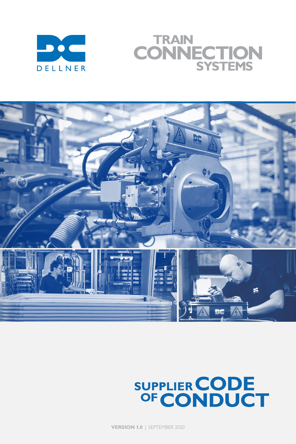

# **TRAIN** CONNECTION **SYSTEMS**



# SUPPLIER CODE<br>OF CONDUCT

**VERSION 1.0** | SEPTEMBER 2020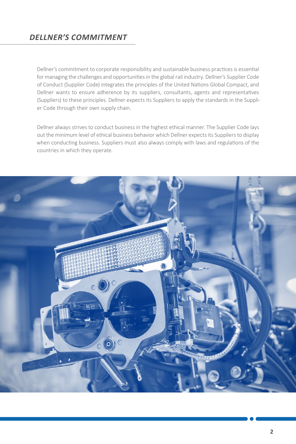**2**

Dellner's commitment to corporate responsibility and sustainable business practices is essential for managing the challenges and opportunities in the global rail industry. Dellner's Supplier Code of Conduct (Supplier Code) integrates the principles of the United Nations Global Compact, and Dellner wants to ensure adherence by its suppliers, consultants, agents and representatives (Suppliers) to these principles. Dellner expects its Suppliers to apply the standards in the Supplier Code through their own supply chain.

Dellner always strives to conduct business in the highest ethical manner. The Supplier Code lays out the minimum level of ethical business behavior which Dellner expects its Suppliers to display when conducting business. Suppliers must also always comply with laws and regulations of the countries in which they operate.



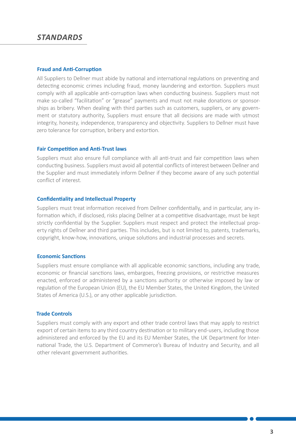#### **Fraud and Anti-Corruption**

All Suppliers to Dellner must abide by national and international regulations on preventing and detecting economic crimes including fraud, money laundering and extortion. Suppliers must comply with all applicable anti-corruption laws when conducting business. Suppliers must not make so-called "facilitation" or "grease" payments and must not make donations or sponsorships as bribery. When dealing with third parties such as customers, suppliers, or any government or statutory authority, Suppliers must ensure that all decisions are made with utmost integrity, honesty, independence, transparency and objectivity. Suppliers to Dellner must have zero tolerance for corruption, bribery and extortion.

#### **Fair Competition and Anti-Trust laws**

Suppliers must also ensure full compliance with all anti-trust and fair competition laws when conducting business. Suppliers must avoid all potential conflicts of interest between Dellner and the Supplier and must immediately inform Dellner if they become aware of any such potential conflict of interest.

## **Confidentiality and Intellectual Property**

Suppliers must treat information received from Dellner confidentially, and in particular, any information which, if disclosed, risks placing Dellner at a competitive disadvantage, must be kept strictly confidential by the Supplier. Suppliers must respect and protect the intellectual property rights of Dellner and third parties. This includes, but is not limited to, patents, trademarks, copyright, know-how, innovations, unique solutions and industrial processes and secrets.

## **Economic Sanctions**

Suppliers must ensure compliance with all applicable economic sanctions, including any trade, economic or financial sanctions laws, embargoes, freezing provisions, or restrictive measures enacted, enforced or administered by a sanctions authority or otherwise imposed by law or regulation of the European Union (EU), the EU Member States, the United Kingdom, the United States of America (U.S.), or any other applicable jurisdiction.

## **Trade Controls**

Suppliers must comply with any export and other trade control laws that may apply to restrict export of certain items to any third country destination or to military end-users, including those administered and enforced by the EU and its EU Member States, the UK Department for International Trade, the U.S. Department of Commerce's Bureau of Industry and Security, and all other relevant government authorities.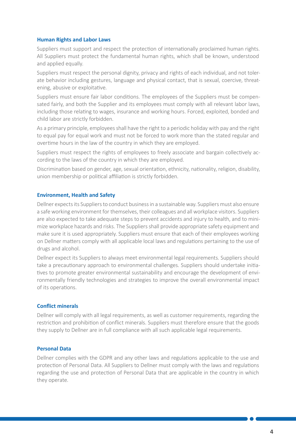**4**

# **Human Rights and Labor Laws**

Suppliers must support and respect the protection of internationally proclaimed human rights. All Suppliers must protect the fundamental human rights, which shall be known, understood and applied equally.

Suppliers must respect the personal dignity, privacy and rights of each individual, and not tolerate behavior including gestures, language and physical contact, that is sexual, coercive, threatening, abusive or exploitative.

Suppliers must ensure fair labor conditions. The employees of the Suppliers must be compensated fairly, and both the Supplier and its employees must comply with all relevant labor laws, including those relating to wages, insurance and working hours. Forced, exploited, bonded and child labor are strictly forbidden.

As a primary principle, employees shall have the right to a periodic holiday with pay and the right to equal pay for equal work and must not be forced to work more than the stated regular and overtime hours in the law of the country in which they are employed.

Suppliers must respect the rights of employees to freely associate and bargain collectively according to the laws of the country in which they are employed.

Discrimination based on gender, age, sexual orientation, ethnicity, nationality, religion, disability, union membership or political affiliation is strictly forbidden.

# **Environment, Health and Safety**

Dellner expects its Suppliers to conduct business in a sustainable way. Suppliers must also ensure a safe working environment for themselves, their colleagues and all workplace visitors. Suppliers are also expected to take adequate steps to prevent accidents and injury to health, and to minimize workplace hazards and risks. The Suppliers shall provide appropriate safety equipment and make sure it is used appropriately. Suppliers must ensure that each of their employees working on Dellner matters comply with all applicable local laws and regulations pertaining to the use of drugs and alcohol.

Dellner expect its Suppliers to always meet environmental legal requirements. Suppliers should take a precautionary approach to environmental challenges. Suppliers should undertake initiatives to promote greater environmental sustainability and encourage the development of environmentally friendly technologies and strategies to improve the overall environmental impact of its operations.

# **Conflict minerals**

Dellner will comply with all legal requirements, as well as customer requirements, regarding the restriction and prohibition of conflict minerals. Suppliers must therefore ensure that the goods they supply to Dellner are in full compliance with all such applicable legal requirements.

#### **Personal Data**

Dellner complies with the GDPR and any other laws and regulations applicable to the use and protection of Personal Data. All Suppliers to Dellner must comply with the laws and regulations regarding the use and protection of Personal Data that are applicable in the country in which they operate.